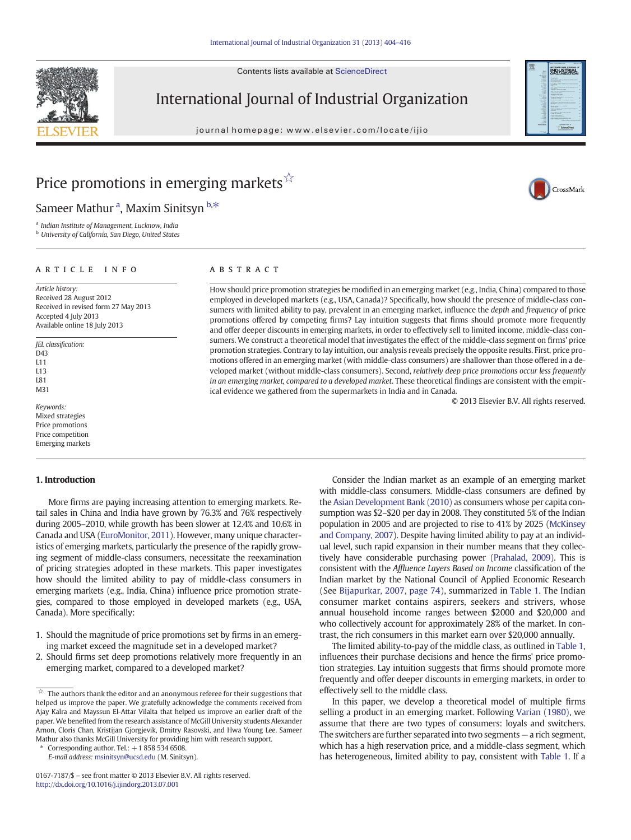Contents lists available at ScienceDirect



International Journal of Industrial Organization

journal homepage: www.elsevier.com/locate/ijio



CrossMark

# Price promotions in emerging markets $\vec{x}$

Sameer Mathur <sup>a</sup>, Maxim Sinitsyn <sup>b,\*</sup>

<sup>a</sup> Indian Institute of Management, Lucknow, India

**b** University of California, San Diego, United States

### article info abstract

Article history: Received 28 August 2012 Received in revised form 27 May 2013 Accepted 4 July 2013 Available online 18 July 2013

JEL classification: D43 L11 L13 L81

M31

Keywords: Mixed strategies Price promotions Price competition Emerging markets

## 1. Introduction

More firms are paying increasing attention to emerging markets. Retail sales in China and India have grown by 76.3% and 76% respectively during 2005–2010, while growth has been slower at 12.4% and 10.6% in Canada and USA [\(EuroMonitor, 2011](#page--1-0)). However, many unique characteristics of emerging markets, particularly the presence of the rapidly growing segment of middle-class consumers, necessitate the reexamination of pricing strategies adopted in these markets. This paper investigates how should the limited ability to pay of middle-class consumers in emerging markets (e.g., India, China) influence price promotion strategies, compared to those employed in developed markets (e.g., USA, Canada). More specifically:

- 1. Should the magnitude of price promotions set by firms in an emerging market exceed the magnitude set in a developed market?
- 2. Should firms set deep promotions relatively more frequently in an emerging market, compared to a developed market?

Corresponding author. Tel.:  $+18585346508$ .

E-mail address: [msinitsyn@ucsd.edu](mailto:msinitsyn@ucsd.edu) (M. Sinitsyn).

How should price promotion strategies be modified in an emerging market (e.g., India, China) compared to those employed in developed markets (e.g., USA, Canada)? Specifically, how should the presence of middle-class consumers with limited ability to pay, prevalent in an emerging market, influence the *depth* and *frequency* of price promotions offered by competing firms? Lay intuition suggests that firms should promote more frequently and offer deeper discounts in emerging markets, in order to effectively sell to limited income, middle-class consumers. We construct a theoretical model that investigates the effect of the middle-class segment on firms' price promotion strategies. Contrary to lay intuition, our analysis reveals precisely the opposite results. First, price promotions offered in an emerging market (with middle-class consumers) are shallower than those offered in a developed market (without middle-class consumers). Second, relatively deep price promotions occur less frequently in an emerging market, compared to a developed market. These theoretical findings are consistent with the empirical evidence we gathered from the supermarkets in India and in Canada.

© 2013 Elsevier B.V. All rights reserved.

Consider the Indian market as an example of an emerging market with middle-class consumers. Middle-class consumers are defined by the [Asian Development Bank \(2010\)](#page--1-0) as consumers whose per capita consumption was \$2–\$20 per day in 2008. They constituted 5% of the Indian population in 2005 and are projected to rise to 41% by 2025 ([McKinsey](#page--1-0) [and Company, 2007](#page--1-0)). Despite having limited ability to pay at an individual level, such rapid expansion in their number means that they collectively have considerable purchasing power [\(Prahalad, 2009\)](#page--1-0). This is consistent with the Affluence Layers Based on Income classification of the Indian market by the National Council of Applied Economic Research (See [Bijapurkar, 2007, page 74\)](#page--1-0), summarized in [Table 1.](#page-1-0) The Indian consumer market contains aspirers, seekers and strivers, whose annual household income ranges between \$2000 and \$20,000 and who collectively account for approximately 28% of the market. In contrast, the rich consumers in this market earn over \$20,000 annually.

The limited ability-to-pay of the middle class, as outlined in [Table 1,](#page-1-0) influences their purchase decisions and hence the firms' price promotion strategies. Lay intuition suggests that firms should promote more frequently and offer deeper discounts in emerging markets, in order to effectively sell to the middle class.

In this paper, we develop a theoretical model of multiple firms selling a product in an emerging market. Following [Varian \(1980\),](#page--1-0) we assume that there are two types of consumers: loyals and switchers. The switchers are further separated into two segments — a rich segment, which has a high reservation price, and a middle-class segment, which has heterogeneous, limited ability to pay, consistent with [Table 1.](#page-1-0) If a

 $\overrightarrow{a}$  The authors thank the editor and an anonymous referee for their suggestions that helped us improve the paper. We gratefully acknowledge the comments received from Ajay Kalra and Mayssun El-Attar Vilalta that helped us improve an earlier draft of the paper. We benefited from the research assistance of McGill University students Alexander Arnon, Cloris Chan, Kristijan Gjorgjevik, Dmitry Rasovski, and Hwa Young Lee. Sameer Mathur also thanks McGill University for providing him with research support.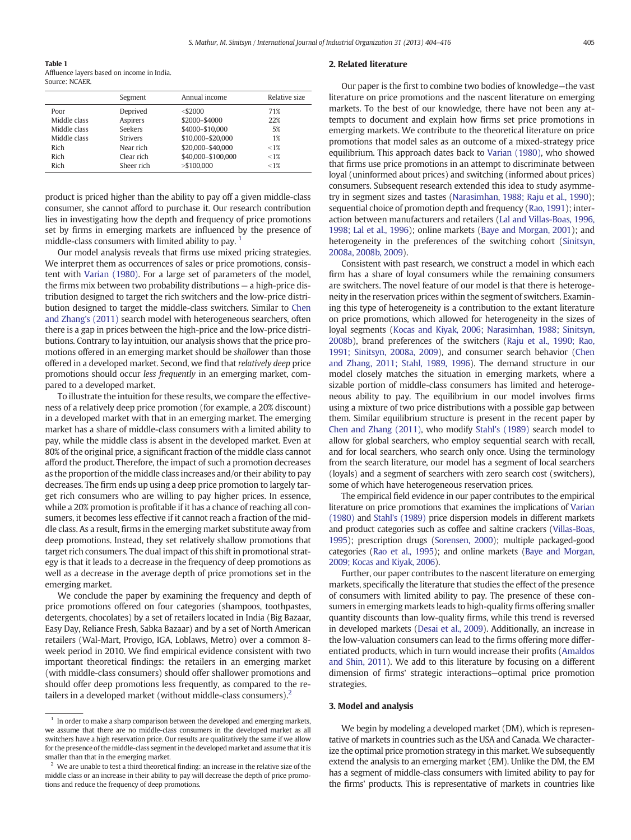<span id="page-1-0"></span>Table 1

Affluence layers based on income in India. Source: NCAER.

|              | Segment         | Annual income      | Relative size |
|--------------|-----------------|--------------------|---------------|
| Poor         | Deprived        | $<$ \$2000         | 71%           |
| Middle class | Aspirers        | \$2000-\$4000      | 22%           |
| Middle class | Seekers         | \$4000-\$10,000    | 5%            |
| Middle class | <b>Strivers</b> | \$10,000-\$20,000  | 1%            |
| Rich         | Near rich       | \$20,000-\$40,000  | $< 1\%$       |
| Rich         | Clear rich      | \$40,000-\$100,000 | $< 1\%$       |
| Rich         | Sheer rich      | $>$ \$100.000      | $< 1\%$       |

product is priced higher than the ability to pay off a given middle-class consumer, she cannot afford to purchase it. Our research contribution lies in investigating how the depth and frequency of price promotions set by firms in emerging markets are influenced by the presence of middle-class consumers with limited ability to pay. <sup>1</sup>

Our model analysis reveals that firms use mixed pricing strategies. We interpret them as occurrences of sales or price promotions, consistent with [Varian \(1980\).](#page--1-0) For a large set of parameters of the model, the firms mix between two probability distributions — a high-price distribution designed to target the rich switchers and the low-price distribution designed to target the middle-class switchers. Similar to [Chen](#page--1-0) [and Zhang's \(2011\)](#page--1-0) search model with heterogeneous searchers, often there is a gap in prices between the high-price and the low-price distributions. Contrary to lay intuition, our analysis shows that the price promotions offered in an emerging market should be shallower than those offered in a developed market. Second, we find that relatively deep price promotions should occur less frequently in an emerging market, compared to a developed market.

To illustrate the intuition for these results, we compare the effectiveness of a relatively deep price promotion (for example, a 20% discount) in a developed market with that in an emerging market. The emerging market has a share of middle-class consumers with a limited ability to pay, while the middle class is absent in the developed market. Even at 80% of the original price, a significant fraction of the middle class cannot afford the product. Therefore, the impact of such a promotion decreases as the proportion of the middle class increases and/or their ability to pay decreases. The firm ends up using a deep price promotion to largely target rich consumers who are willing to pay higher prices. In essence, while a 20% promotion is profitable if it has a chance of reaching all consumers, it becomes less effective if it cannot reach a fraction of the middle class. As a result, firms in the emerging market substitute away from deep promotions. Instead, they set relatively shallow promotions that target rich consumers. The dual impact of this shift in promotional strategy is that it leads to a decrease in the frequency of deep promotions as well as a decrease in the average depth of price promotions set in the emerging market.

We conclude the paper by examining the frequency and depth of price promotions offered on four categories (shampoos, toothpastes, detergents, chocolates) by a set of retailers located in India (Big Bazaar, Easy Day, Reliance Fresh, Sabka Bazaar) and by a set of North American retailers (Wal-Mart, Provigo, IGA, Loblaws, Metro) over a common 8 week period in 2010. We find empirical evidence consistent with two important theoretical findings: the retailers in an emerging market (with middle-class consumers) should offer shallower promotions and should offer deep promotions less frequently, as compared to the retailers in a developed market (without middle-class consumers).<sup>2</sup>

### 2. Related literature

Our paper is the first to combine two bodies of knowledge—the vast literature on price promotions and the nascent literature on emerging markets. To the best of our knowledge, there have not been any attempts to document and explain how firms set price promotions in emerging markets. We contribute to the theoretical literature on price promotions that model sales as an outcome of a mixed-strategy price equilibrium. This approach dates back to [Varian \(1980\),](#page--1-0) who showed that firms use price promotions in an attempt to discriminate between loyal (uninformed about prices) and switching (informed about prices) consumers. Subsequent research extended this idea to study asymmetry in segment sizes and tastes [\(Narasimhan, 1988; Raju et al., 1990](#page--1-0)); sequential choice of promotion depth and frequency [\(Rao, 1991\)](#page--1-0); interaction between manufacturers and retailers ([Lal and Villas-Boas, 1996,](#page--1-0) [1998; Lal et al., 1996\)](#page--1-0); online markets [\(Baye and Morgan, 2001](#page--1-0)); and heterogeneity in the preferences of the switching cohort [\(Sinitsyn,](#page--1-0) [2008a, 2008b, 2009](#page--1-0)).

Consistent with past research, we construct a model in which each firm has a share of loyal consumers while the remaining consumers are switchers. The novel feature of our model is that there is heterogeneity in the reservation prices within the segment of switchers. Examining this type of heterogeneity is a contribution to the extant literature on price promotions, which allowed for heterogeneity in the sizes of loyal segments [\(Kocas and Kiyak, 2006; Narasimhan, 1988; Sinitsyn,](#page--1-0) [2008b\)](#page--1-0), brand preferences of the switchers ([Raju et al., 1990; Rao,](#page--1-0) [1991; Sinitsyn, 2008a, 2009\)](#page--1-0), and consumer search behavior [\(Chen](#page--1-0) [and Zhang, 2011; Stahl, 1989, 1996\)](#page--1-0). The demand structure in our model closely matches the situation in emerging markets, where a sizable portion of middle-class consumers has limited and heterogeneous ability to pay. The equilibrium in our model involves firms using a mixture of two price distributions with a possible gap between them. Similar equilibrium structure is present in the recent paper by [Chen and Zhang \(2011\),](#page--1-0) who modify [Stahl's \(1989\)](#page--1-0) search model to allow for global searchers, who employ sequential search with recall, and for local searchers, who search only once. Using the terminology from the search literature, our model has a segment of local searchers (loyals) and a segment of searchers with zero search cost (switchers), some of which have heterogeneous reservation prices.

The empirical field evidence in our paper contributes to the empirical literature on price promotions that examines the implications of [Varian](#page--1-0) [\(1980\)](#page--1-0) and [Stahl's \(1989\)](#page--1-0) price dispersion models in different markets and product categories such as coffee and saltine crackers [\(Villas-Boas,](#page--1-0) [1995\)](#page--1-0); prescription drugs ([Sorensen, 2000](#page--1-0)); multiple packaged-good categories [\(Rao et al., 1995](#page--1-0)); and online markets [\(Baye and Morgan,](#page--1-0) [2009; Kocas and Kiyak, 2006\)](#page--1-0).

Further, our paper contributes to the nascent literature on emerging markets, specifically the literature that studies the effect of the presence of consumers with limited ability to pay. The presence of these consumers in emerging markets leads to high-quality firms offering smaller quantity discounts than low-quality firms, while this trend is reversed in developed markets [\(Desai et al., 2009\)](#page--1-0). Additionally, an increase in the low-valuation consumers can lead to the firms offering more differentiated products, which in turn would increase their profits ([Amaldos](#page--1-0) [and Shin, 2011](#page--1-0)). We add to this literature by focusing on a different dimension of firms' strategic interactions—optimal price promotion strategies.

### 3. Model and analysis

We begin by modeling a developed market (DM), which is representative of markets in countries such as the USA and Canada. We characterize the optimal price promotion strategy in this market. We subsequently extend the analysis to an emerging market (EM). Unlike the DM, the EM has a segment of middle-class consumers with limited ability to pay for the firms' products. This is representative of markets in countries like

 $^{\rm 1}$  In order to make a sharp comparison between the developed and emerging markets, we assume that there are no middle-class consumers in the developed market as all switchers have a high reservation price. Our results are qualitatively the same if we allow for the presence of the middle-class segment in the developed market and assume that it is smaller than that in the emerging market.

We are unable to test a third theoretical finding: an increase in the relative size of the middle class or an increase in their ability to pay will decrease the depth of price promotions and reduce the frequency of deep promotions.